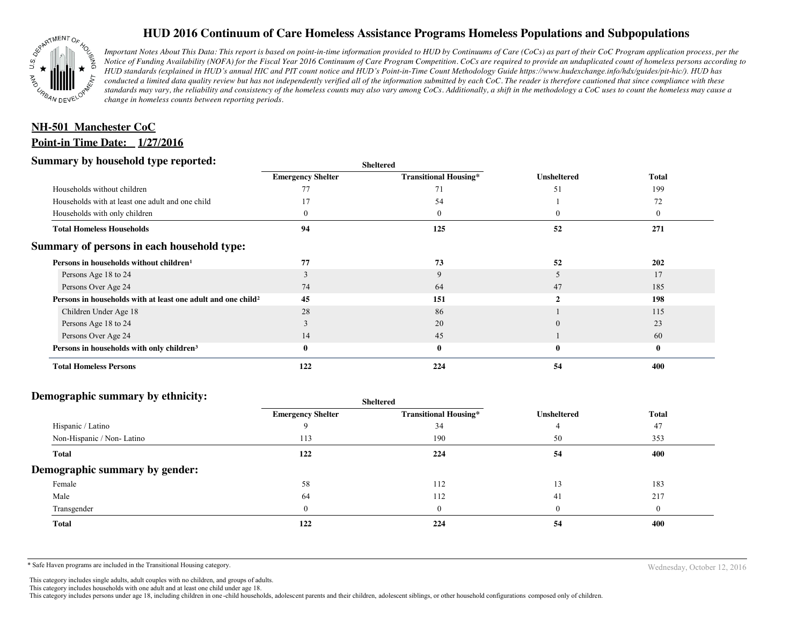

# **HUD 2016 Continuum of Care Homeless Assistance Programs Homeless Populations and Subpopulations**

*Important Notes About This Data: This report is based on point-in-time information provided to HUD by Continuums of Care (CoCs) as part of their CoC Program application process, per the Notice of Funding Availability (NOFA) for the Fiscal Year 2016 Continuum of Care Program Competition. CoCs are required to provide an unduplicated count of homeless persons according to HUD standards (explained in HUD's annual HIC and PIT count notice and HUD's Point-in-Time Count Methodology Guide https://www.hudexchange.info/hdx/guides/pit-hic/). HUD has conducted a limited data quality review but has not independently verified all of the information submitted by each CoC. The reader is therefore cautioned that since compliance with these*  standards may vary, the reliability and consistency of the homeless counts may also vary among CoCs. Additionally, a shift in the methodology a CoC uses to count the homeless may cause a *change in homeless counts between reporting periods.*

# **Point-in Time Date: 1/27/2016 NH-501 Manchester CoC**

### **Summary by household type reported:**

| эчнинагу бу почвеною туре герогіесі:                                     | <b>Sheltered</b>         |                              |                    |              |
|--------------------------------------------------------------------------|--------------------------|------------------------------|--------------------|--------------|
|                                                                          | <b>Emergency Shelter</b> | <b>Transitional Housing*</b> | <b>Unsheltered</b> | <b>Total</b> |
| Households without children                                              |                          |                              | 51                 | 199          |
| Households with at least one adult and one child                         |                          | 54                           |                    | 72           |
| Households with only children                                            |                          | $\bf{0}$                     |                    | 0            |
| <b>Total Homeless Households</b>                                         | 94                       | 125                          | 52                 | 271          |
| Summary of persons in each household type:                               |                          |                              |                    |              |
| Persons in households without children <sup>1</sup>                      | 77                       | 73                           | 52                 | 202          |
| Persons Age 18 to 24                                                     |                          | 9                            |                    | 17           |
| Persons Over Age 24                                                      | 74                       | 64                           | 47                 | 185          |
| Persons in households with at least one adult and one child <sup>2</sup> | 45                       | 151                          |                    | 198          |
| Children Under Age 18                                                    | 28                       | 86                           |                    | 115          |
| Persons Age 18 to 24                                                     |                          | 20                           |                    | 23           |
| Persons Over Age 24                                                      | 14                       | 45                           |                    | 60           |
| Persons in households with only children <sup>3</sup>                    |                          | $\bf{0}$                     | $\bf{0}$           | $\bf{0}$     |
| <b>Total Homeless Persons</b>                                            | 122                      | 224                          | 54                 | 400          |

#### **Demographic summary by ethnicity:**

|                                | Sheltered                |                              |                    |              |  |
|--------------------------------|--------------------------|------------------------------|--------------------|--------------|--|
|                                | <b>Emergency Shelter</b> | <b>Transitional Housing*</b> | <b>Unsheltered</b> | <b>Total</b> |  |
| Hispanic / Latino              |                          | 34                           |                    | 47           |  |
| Non-Hispanic / Non-Latino      | 113                      | 190                          | 50                 | 353          |  |
| <b>Total</b>                   | 122                      | 224                          | 54                 | 400          |  |
| Demographic summary by gender: |                          |                              |                    |              |  |
| Female                         | 58                       | 112                          | 13                 | 183          |  |
| Male                           | 64                       | 112                          | 41                 | 217          |  |
| Transgender                    |                          | 0                            | $\overline{0}$     | $\theta$     |  |
| <b>Total</b>                   | 122                      | 224                          | 54                 | 400          |  |
|                                |                          |                              |                    |              |  |

\* Safe Haven programs are included in the Transitional Housing category. Nechaster of the Transitional Housing category.

This category includes single adults, adult couples with no children, and groups of adults.

This category includes households with one adult and at least one child under age 18.

This category includes persons under age 18, including children in one -child households, adolescent parents and their children, adolescent siblings, or other household configurations composed only of children